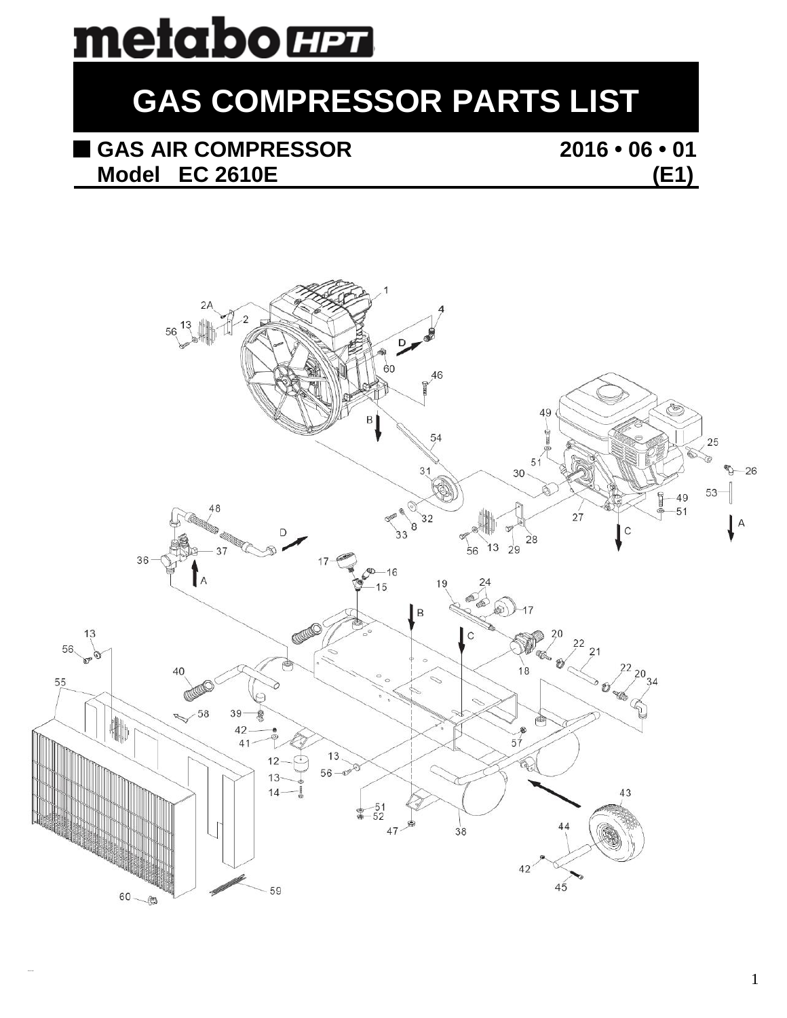# metabo **HET**

## **GAS COMPRESSOR PARTS LIST**

## **GAS AIR COMPRESSOR** 2016 • 06 • 01<br>Model EC 2610E (E1) **Model EC 2610E (E1)**

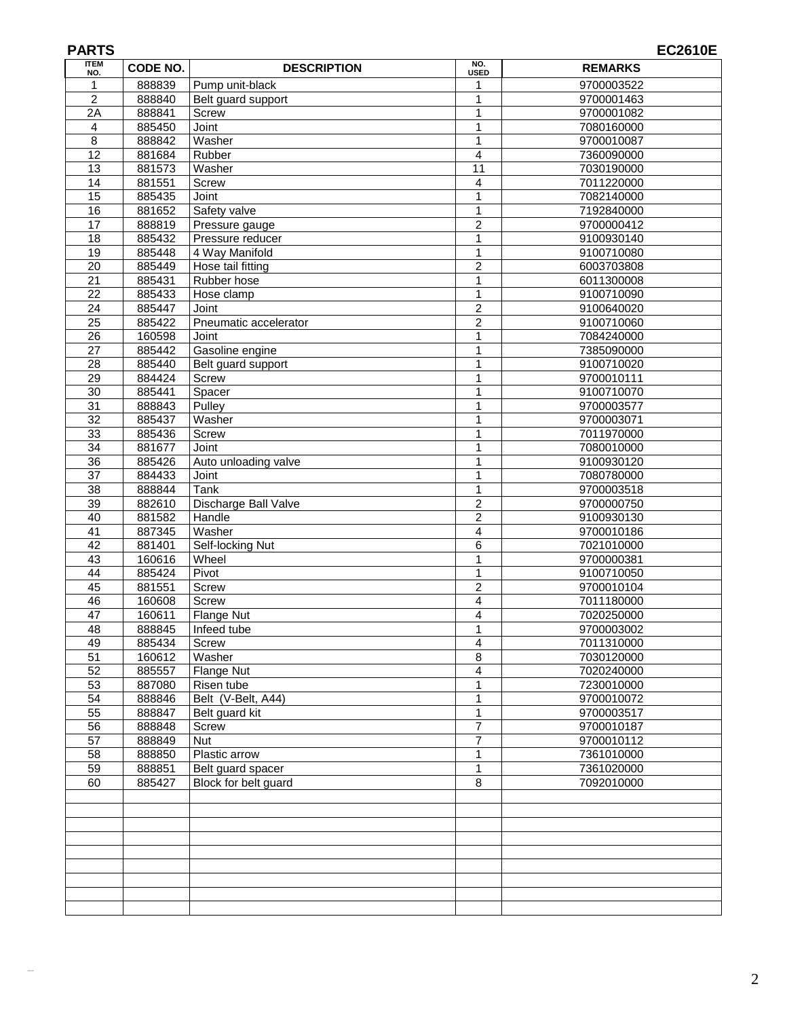| <b>ITEM</b>     | CODE NO. | <b>DESCRIPTION</b>    | NO.                     | <b>REMARKS</b> |
|-----------------|----------|-----------------------|-------------------------|----------------|
| NO.             |          |                       | <b>USED</b>             |                |
| 1               | 888839   | Pump unit-black       | 1                       | 9700003522     |
| $\overline{2}$  | 888840   | Belt guard support    | 1                       | 9700001463     |
| $\overline{2A}$ | 888841   | Screw                 | 1                       | 9700001082     |
| 4               | 885450   | Joint                 | $\mathbf{1}$            | 7080160000     |
| 8               | 888842   | Washer                | $\mathbf{1}$            | 9700010087     |
| 12              | 881684   | Rubber                | 4                       | 7360090000     |
| 13              | 881573   | Washer                | $\overline{11}$         | 7030190000     |
| $\overline{14}$ | 881551   | Screw                 | $\overline{4}$          | 7011220000     |
| $\overline{15}$ | 885435   | Joint                 | $\mathbf{1}$            | 7082140000     |
| 16              | 881652   | Safety valve          | $\mathbf{1}$            | 7192840000     |
| 17              | 888819   | Pressure gauge        | $\overline{c}$          | 9700000412     |
| $\overline{18}$ | 885432   | Pressure reducer      | $\mathbf{1}$            | 9100930140     |
| 19              | 885448   | 4 Way Manifold        | 1                       | 9100710080     |
| $\overline{20}$ | 885449   | Hose tail fitting     | $\overline{2}$          | 6003703808     |
| 21              | 885431   | Rubber hose           | 1                       | 6011300008     |
| 22              | 885433   | Hose clamp            | 1                       | 9100710090     |
| 24              | 885447   | Joint                 | $\overline{2}$          | 9100640020     |
| $\overline{25}$ | 885422   | Pneumatic accelerator | $\overline{2}$          |                |
|                 |          |                       |                         | 9100710060     |
| 26              | 160598   | Joint                 | $\mathbf{1}$            | 7084240000     |
| $\overline{27}$ | 885442   | Gasoline engine       | $\mathbf{1}$            | 7385090000     |
| 28              | 885440   | Belt guard support    | 1                       | 9100710020     |
| 29              | 884424   | <b>Screw</b>          | $\mathbf{1}$            | 9700010111     |
| $\overline{30}$ | 885441   | Spacer                | 1                       | 9100710070     |
| $\overline{31}$ | 888843   | Pulley                | 1                       | 9700003577     |
| 32              | 885437   | Washer                | $\mathbf{1}$            | 9700003071     |
| 33              | 885436   | Screw                 | $\mathbf{1}$            | 7011970000     |
| 34              | 881677   | Joint                 | $\mathbf{1}$            | 7080010000     |
| 36              | 885426   | Auto unloading valve  | $\mathbf 1$             | 9100930120     |
| $\overline{37}$ | 884433   | Joint                 | 1                       | 7080780000     |
| 38              | 888844   | Tank                  | $\mathbf{1}$            | 9700003518     |
| $\overline{39}$ | 882610   | Discharge Ball Valve  | $\overline{2}$          | 9700000750     |
| 40              | 881582   | Handle                | 2                       | 9100930130     |
| $\overline{41}$ | 887345   | Washer                | $\overline{\mathbf{4}}$ | 9700010186     |
| 42              | 881401   | Self-locking Nut      | 6                       | 7021010000     |
| $\overline{43}$ | 160616   | Wheel                 | $\mathbf{1}$            | 9700000381     |
| 44              | 885424   | Pivot                 | 1                       | 9100710050     |
| 45              | 881551   | Screw                 | $\overline{c}$          | 9700010104     |
| 46              | 160608   | Screw                 | 4                       | 7011180000     |
| $\overline{47}$ | 160611   | Flange Nut            | $\overline{4}$          | 7020250000     |
| 48              | 888845   | Infeed tube           | 1                       | 9700003002     |
| 49              | 885434   | Screw                 | 4                       | 7011310000     |
| 51              | 160612   | Washer                | 8                       | 7030120000     |
| 52              | 885557   | Flange Nut            | 4                       | 7020240000     |
| $\overline{53}$ | 887080   | Risen tube            | $\mathbf{1}$            | 7230010000     |
| 54              | 888846   | Belt (V-Belt, A44)    | $\mathbf 1$             | 9700010072     |
| 55              | 888847   | Belt guard kit        | $\mathbf{1}$            | 9700003517     |
|                 |          |                       |                         |                |
| 56              | 888848   | Screw                 | $\overline{7}$          | 9700010187     |
| $\overline{57}$ | 888849   | <b>Nut</b>            | $\overline{7}$          | 9700010112     |
| 58              | 888850   | Plastic arrow         | $\mathbf{1}$            | 7361010000     |
| $\overline{59}$ | 888851   | Belt guard spacer     | $\mathbf{1}$            | 7361020000     |
| 60              | 885427   | Block for belt guard  | $\,8\,$                 | 7092010000     |
|                 |          |                       |                         |                |
|                 |          |                       |                         |                |
|                 |          |                       |                         |                |
|                 |          |                       |                         |                |
|                 |          |                       |                         |                |
|                 |          |                       |                         |                |
|                 |          |                       |                         |                |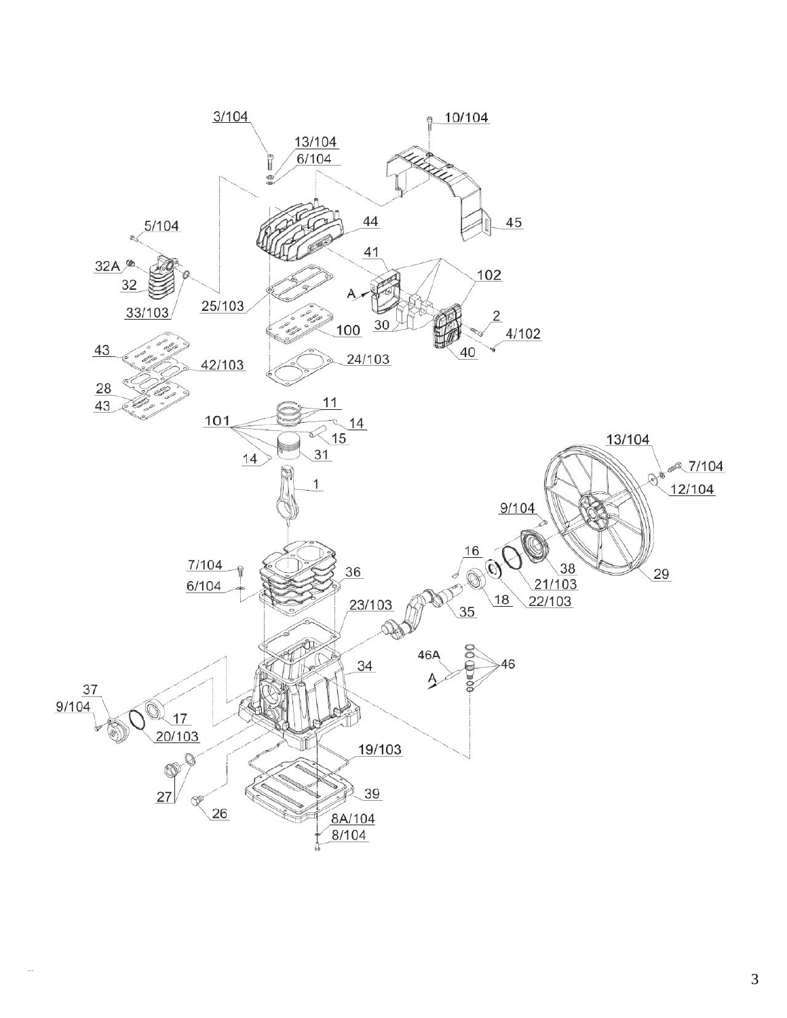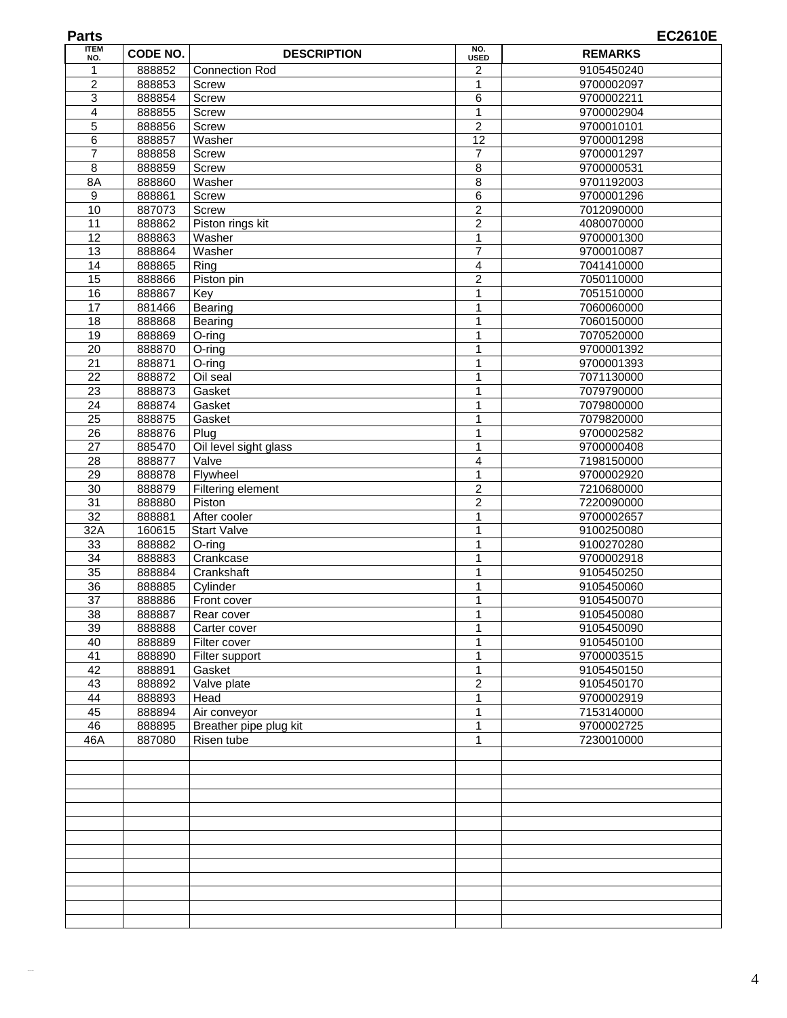| <b>Parts</b>          |                  |                        |                         | <b>EC2610E</b>           |
|-----------------------|------------------|------------------------|-------------------------|--------------------------|
| <b>ITEM</b><br>NO.    | CODE NO.         | <b>DESCRIPTION</b>     | NO.<br><b>USED</b>      | <b>REMARKS</b>           |
|                       | 888852           | <b>Connection Rod</b>  | 2                       | 9105450240               |
| $\overline{2}$        | 888853           | Screw                  | $\mathbf{1}$            | 9700002097               |
| 3                     | 888854           | Screw                  | 6                       | 9700002211               |
| 4                     | 888855           | Screw                  | $\mathbf{1}$            | 9700002904               |
| 5                     | 888856           | Screw                  | $\overline{c}$          | 9700010101               |
| 6                     | 888857           | Washer                 | 12                      | 9700001298               |
| 7                     | 888858           | Screw                  | $\overline{7}$          | 9700001297               |
| 8                     | 888859           | Screw                  | 8                       | 9700000531               |
| 8A                    | 888860           | Washer                 | 8                       | 9701192003               |
| 9                     | 888861           | <b>Screw</b>           | 6                       | 9700001296               |
| 10                    | 887073           | Screw                  | $\overline{c}$          | 7012090000               |
| 11                    | 888862           | Piston rings kit       | $\overline{2}$          | 4080070000               |
| $\overline{12}$       | 888863           | Washer                 | $\overline{1}$          | 9700001300               |
| $\overline{13}$       | 888864           | Washer                 | $\overline{7}$          | 9700010087               |
| 14                    | 888865           | Ring                   | 4                       | 7041410000               |
| 15                    | 888866           | Piston pin             | $\overline{\mathbf{c}}$ | 7050110000               |
| 16                    | 888867           | Key                    | $\mathbf{1}$            | 7051510000               |
| $\overline{17}$       | 881466           | Bearing                | 1                       | 7060060000               |
| $\overline{18}$       | 888868           | Bearing                | $\mathbf 1$             | 7060150000               |
| 19                    | 888869           | O-ring                 | $\mathbf{1}$            | 7070520000               |
| 20                    | 888870           | O-ring                 | 1                       | 9700001392               |
| 21<br>$\overline{22}$ | 888871<br>888872 | $O$ -ring<br>Oil seal  | 1<br>1                  | 9700001393<br>7071130000 |
| 23                    | 888873           | Gasket                 | $\mathbf 1$             | 7079790000               |
| $\overline{24}$       | 888874           | Gasket                 | $\mathbf{1}$            | 7079800000               |
| 25                    | 888875           | Gasket                 | 1                       | 7079820000               |
| 26                    | 888876           | Plug                   | $\mathbf{1}$            | 9700002582               |
| 27                    | 885470           | Oil level sight glass  | $\mathbf{1}$            | 9700000408               |
| 28                    | 888877           | Valve                  | 4                       | 7198150000               |
| 29                    | 888878           | Flywheel               | $\mathbf{1}$            | 9700002920               |
| 30                    | 888879           | Filtering element      | $\overline{c}$          | 7210680000               |
| 31                    | 888880           | Piston                 | $\overline{c}$          | 7220090000               |
| $\overline{32}$       | 888881           | After cooler           | $\mathbf{1}$            | 9700002657               |
| 32A                   | 160615           | Start Valve            | $\mathbf{1}$            | 9100250080               |
| 33                    | 888882           | O-ring                 | $\mathbf{1}$            | 9100270280               |
| 34                    | 888883           | Crankcase              | 1                       | 9700002918               |
| 35                    | 888884           | Crankshaft             | 1                       | 9105450250               |
| $\overline{36}$       | 888885           | Cylinder               | 1                       | 9105450060               |
| $\overline{37}$       | 888886           | Front cover            | 1                       | 9105450070               |
| 38                    | 888887           | Rear cover             | 1                       | 9105450080               |
| 39                    | 888888           | Carter cover           | $\mathbf{1}$            | 9105450090               |
| 40                    | 888889           | Filter cover           | 1                       | 9105450100               |
| 41                    | 888890           | Filter support         | 1                       | 9700003515               |
| 42                    | 888891           | Gasket                 | $\mathbf{1}$            | 9105450150               |
| 43                    | 888892           | Valve plate            | $\overline{c}$          | 9105450170               |
| 44                    | 888893           | Head                   | 1                       | 9700002919               |
| 45                    | 888894           | Air conveyor           | 1                       | 7153140000               |
| 46                    | 888895           | Breather pipe plug kit | 1                       | 9700002725               |
| 46A                   | 887080           | Risen tube             | $\mathbf{1}$            | 7230010000               |
|                       |                  |                        |                         |                          |
|                       |                  |                        |                         |                          |
|                       |                  |                        |                         |                          |
|                       |                  |                        |                         |                          |
|                       |                  |                        |                         |                          |
|                       |                  |                        |                         |                          |
|                       |                  |                        |                         |                          |
|                       |                  |                        |                         |                          |
|                       |                  |                        |                         |                          |
|                       |                  |                        |                         |                          |
|                       |                  |                        |                         |                          |
|                       |                  |                        |                         |                          |
|                       |                  |                        |                         |                          |

Allen R oell